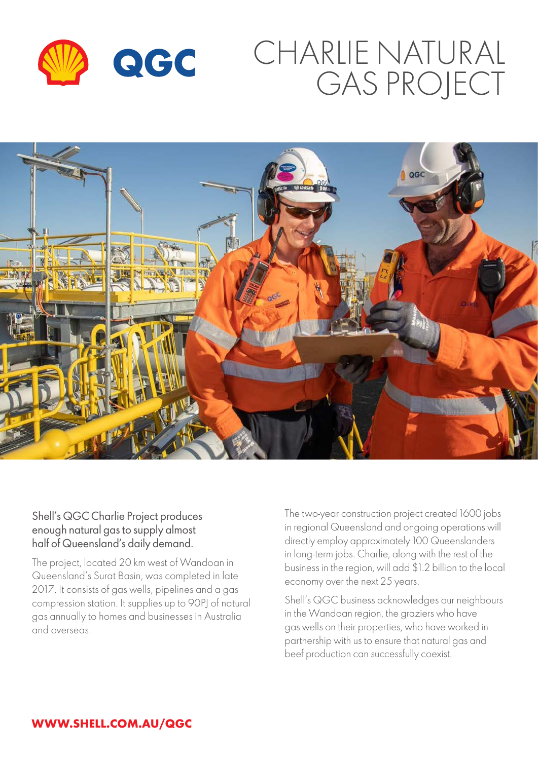

# CHARLIE NATURAL GAS PROJECT



#### Shell's QGC Charlie Project produces enough natural gas to supply almost half of Queensland's daily demand.

The project, located 20 km west of Wandoan in Queensland's Surat Basin, was completed in late 2017. It consists of gas wells, pipelines and a gas compression station. It supplies up to 90PJ of natural gas annually to homes and businesses in Australia and overseas.

The two-year construction project created 1600 jobs in regional Queensland and ongoing operations will directly employ approximately 100 Queenslanders in long-term jobs. Charlie, along with the rest of the business in the region, will add \$1.2 billion to the local economy over the next 25 years.

Shell's QGC business acknowledges our neighbours in the Wandoan region, the graziers who have gas wells on their properties, who have worked in partnership with us to ensure that natural gas and beef production can successfully coexist.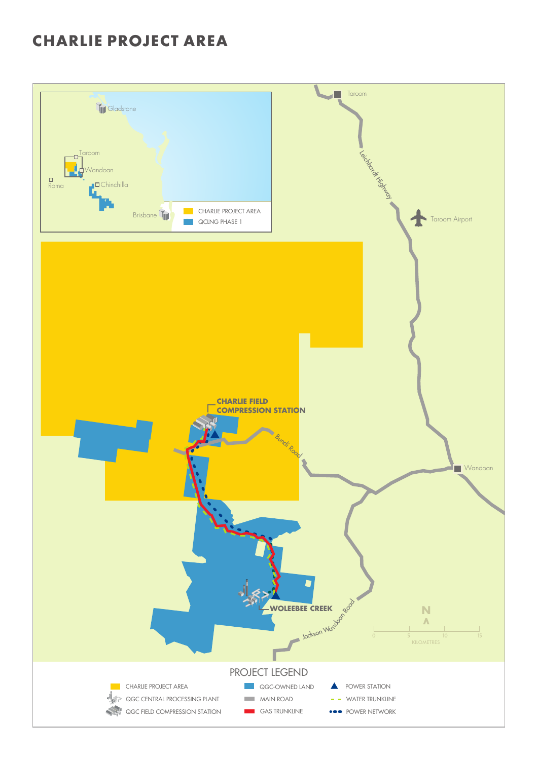### **CHARLIE PROJECT AREA**